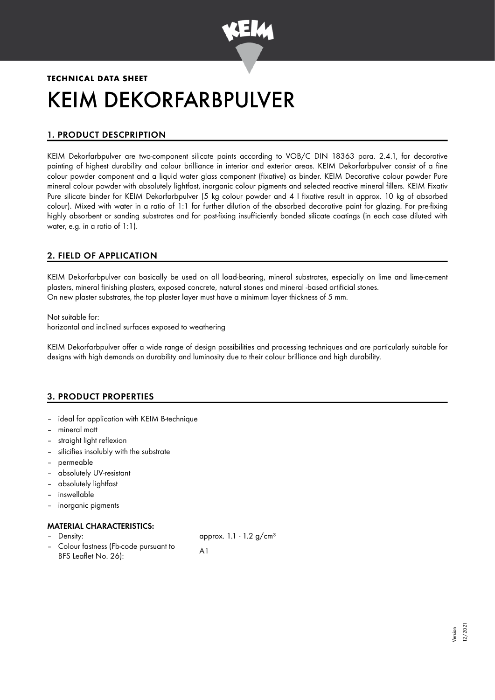

# **TECHNICAL DATA SHEET** KEIM DEKORFARBPULVER

# 1. PRODUCT DESCPRIPTION

KEIM Dekorfarbpulver are two-component silicate paints according to VOB/C DIN 18363 para. 2.4.1, for decorative painting of highest durability and colour brilliance in interior and exterior areas. KEIM Dekorfarbpulver consist of a fine colour powder component and a liquid water glass component (fixative) as binder. KEIM Decorative colour powder Pure mineral colour powder with absolutely lightfast, inorganic colour pigments and selected reactive mineral fillers. KEIM Fixativ Pure silicate binder for KEIM Dekorfarbpulver (5 kg colour powder and 4 l fixative result in approx. 10 kg of absorbed colour). Mixed with water in a ratio of 1:1 for further dilution of the absorbed decorative paint for glazing. For pre-fixing highly absorbent or sanding substrates and for post-fixing insufficiently bonded silicate coatings (in each case diluted with water, e.g. in a ratio of 1:1).

# 2. FIELD OF APPLICATION

KEIM Dekorfarbpulver can basically be used on all load-bearing, mineral substrates, especially on lime and lime-cement plasters, mineral finishing plasters, exposed concrete, natural stones and mineral -based artificial stones. On new plaster substrates, the top plaster layer must have a minimum layer thickness of 5 mm.

Not suitable for: horizontal and inclined surfaces exposed to weathering

KEIM Dekorfarbpulver offer a wide range of design possibilities and processing techniques and are particularly suitable for designs with high demands on durability and luminosity due to their colour brilliance and high durability.

# 3. PRODUCT PROPERTIES

- ideal for application with KEIM B-technique
- mineral matt
- straight light reflexion
- silicifies insolubly with the substrate
- permeable
- absolutely UV-resistant
- absolutely lightfast
- inswellable
- inorganic pigments

# MATERIAL CHARACTERISTICS:

- 
- Colour fastness (Fb-code pursuant to Solour lasmess (i b-code pursuant to A1

Density:  $\qquad \qquad \text{approx. 1.1 - 1.2 g/cm<sup>3</sup>}$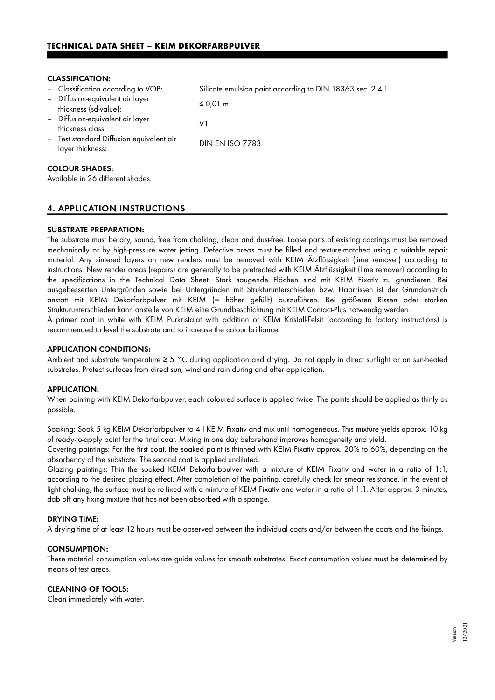#### CLASSIFICATION:

| - Classification according to VOB:                           | Silicate emulsion paint according to DIN 18363 sec. 2.4.1 |
|--------------------------------------------------------------|-----------------------------------------------------------|
| - Diffusion-equivalent air layer<br>thickness (sd-value):    | ≤ 0,01 m                                                  |
| - Diffusion-equivalent air layer<br>thickness class:         | V1                                                        |
| - Test standard Diffusion equivalent air<br>layer thickness: | <b>DIN EN ISO 7783</b>                                    |
|                                                              |                                                           |

## COLOUR SHADES:

Available in 26 different shades.

# 4. APPLICATION INSTRUCTIONS

## SUBSTRATE PREPARATION:

The substrate must be dry, sound, free from chalking, clean and dust-free. Loose parts of existing coatings must be removed mechanically or by high-pressure water jetting. Defective areas must be filled and texture-matched using a suitable repair material. Any sintered layers on new renders must be removed with KEIM Ätzflüssigkeit (lime remover) according to instructions. New render areas (repairs) are generally to be pretreated with KEIM Ätzflüssigkeit (lime remover) according to the specifications in the Technical Data Sheet. Stark saugende Flächen sind mit KEIM Fixativ zu grundieren. Bei ausgebesserten Untergründen sowie bei Untergründen mit Strukturunterschieden bzw. Haarrissen ist der Grundanstrich anstatt mit KEIM Dekorfarbpulver mit KEIM (= höher gefüllt) auszuführen. Bei größeren Rissen oder starken Strukturunterschieden kann anstelle von KEIM eine Grundbeschichtung mit KEIM Contact-Plus notwendig werden.

A primer coat in white with KEIM Purkristalat with addition of KEIM Kristall-Felsit (according to factory instructions) is recommended to level the substrate and to increase the colour brilliance.

#### APPLICATION CONDITIONS:

Ambient and substrate temperature ≥ 5 °C during application and drying. Do not apply in direct sunlight or on sun-heated substrates. Protect surfaces from direct sun, wind and rain during and after application.

#### APPLICATION:

When painting with KEIM Dekorfarbpulver, each coloured surface is applied twice. The paints should be applied as thinly as possible.

Soaking: Soak 5 kg KEIM Dekorfarbpulver to 4 l KEIM Fixativ and mix until homogeneous. This mixture yields approx. 10 kg of ready-to-apply paint for the final coat. Mixing in one day beforehand improves homogeneity and yield.

Covering paintings: For the first coat, the soaked paint is thinned with KEIM Fixativ approx. 20% to 60%, depending on the absorbency of the substrate. The second coat is applied undiluted.

Glazing paintings: Thin the soaked KEIM Dekorfarbpulver with a mixture of KEIM Fixativ and water in a ratio of 1:1, according to the desired glazing effect. After completion of the painting, carefully check for smear resistance. In the event of light chalking, the surface must be re-fixed with a mixture of KEIM Fixativ and water in a ratio of 1:1. After approx. 3 minutes, dab off any fixing mixture that has not been absorbed with a sponge.

#### DRYING TIME:

A drying time of at least 12 hours must be observed between the individual coats and/or between the coats and the fixings.

#### CONSUMPTION:

These material consumption values are guide values for smooth substrates. Exact consumption values must be determined by means of test areas.

#### CLEANING OF TOOLS:

Clean immediately with water.